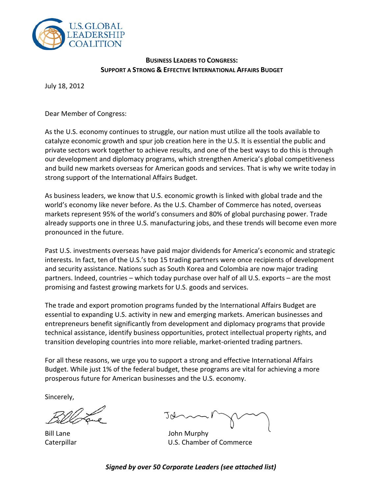

## **BUSINESS LEADERS TO CONGRESS: SUPPORT A STRONG & EFFECTIVE INTERNATIONAL AFFAIRS BUDGET**

July 18, 2012

Dear Member of Congress:

As the U.S. economy continues to struggle, our nation must utilize all the tools available to catalyze economic growth and spur job creation here in the U.S. It is essential the public and private sectors work together to achieve results, and one of the best ways to do this is through our development and diplomacy programs, which strengthen America's global competitiveness and build new markets overseas for American goods and services. That is why we write today in strong support of the International Affairs Budget.

As business leaders, we know that U.S. economic growth is linked with global trade and the world's economy like never before. As the U.S. Chamber of Commerce has noted, overseas markets represent 95% of the world's consumers and 80% of global purchasing power. Trade already supports one in three U.S. manufacturing jobs, and these trends will become even more pronounced in the future.

Past U.S. investments overseas have paid major dividends for America's economic and strategic interests. In fact, ten of the U.S.'s top 15 trading partners were once recipients of development and security assistance. Nations such as South Korea and Colombia are now major trading partners. Indeed, countries – which today purchase over half of all U.S. exports – are the most promising and fastest growing markets for U.S. goods and services.

The trade and export promotion programs funded by the International Affairs Budget are essential to expanding U.S. activity in new and emerging markets. American businesses and entrepreneurs benefit significantly from development and diplomacy programs that provide technical assistance, identify business opportunities, protect intellectual property rights, and transition developing countries into more reliable, market-oriented trading partners.

For all these reasons, we urge you to support a strong and effective International Affairs Budget. While just 1% of the federal budget, these programs are vital for achieving a more prosperous future for American businesses and the U.S. economy.

Sincerely,

Bill Lane **John Murphy** Caterpillar U.S. Chamber of Commerce

*Signed by over 50 Corporate Leaders (see attached list)*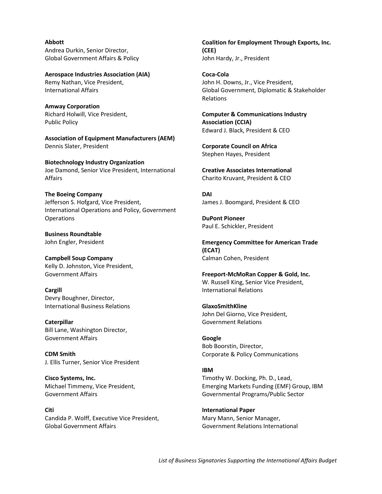**Abbott**  Andrea Durkin, Senior Director, Global Government Affairs & Policy

**Aerospace Industries Association (AIA)** Remy Nathan, Vice President, International Affairs

**Amway Corporation** Richard Holwill, Vice President, Public Policy

**Association of Equipment Manufacturers (AEM)** Dennis Slater, President

**Biotechnology Industry Organization** Joe Damond, Senior Vice President, International Affairs

**The Boeing Company** Jefferson S. Hofgard, Vice President, International Operations and Policy, Government **Operations** 

**Business Roundtable** John Engler, President

**Campbell Soup Company** Kelly D. Johnston, Vice President, Government Affairs

**Cargill**  Devry Boughner, Director, International Business Relations

**Caterpillar** Bill Lane, Washington Director, Government Affairs

**CDM Smith** J. Ellis Turner, Senior Vice President

**Cisco Systems, Inc.** Michael Timmeny, Vice President, Government Affairs

**Citi** Candida P. Wolff, Executive Vice President, Global Government Affairs

**Coalition for Employment Through Exports, Inc. (CEE)** John Hardy, Jr., President

**Coca-Cola** John H. Downs, Jr., Vice President, Global Government, Diplomatic & Stakeholder Relations

**Computer & Communications Industry Association (CCIA)** Edward J. Black, President & CEO

**Corporate Council on Africa** Stephen Hayes, President

**Creative Associates International** Charito Kruvant, President & CEO

**DAI**  James J. Boomgard, President & CEO

**DuPont Pioneer** Paul E. Schickler, President

**Emergency Committee for American Trade (ECAT)** Calman Cohen, President

**Freeport-McMoRan Copper & Gold, Inc.** W. Russell King, Senior Vice President, International Relations

**GlaxoSmithKline** John Del Giorno, Vice President, Government Relations

**Google** Bob Boorstin, Director, Corporate & Policy Communications

## **IBM**

Timothy W. Docking, Ph. D., Lead, Emerging Markets Funding (EMF) Group, IBM Governmental Programs/Public Sector

**International Paper** Mary Mann, Senior Manager, Government Relations International

*List of Business Signatories Supporting the International Affairs Budget*